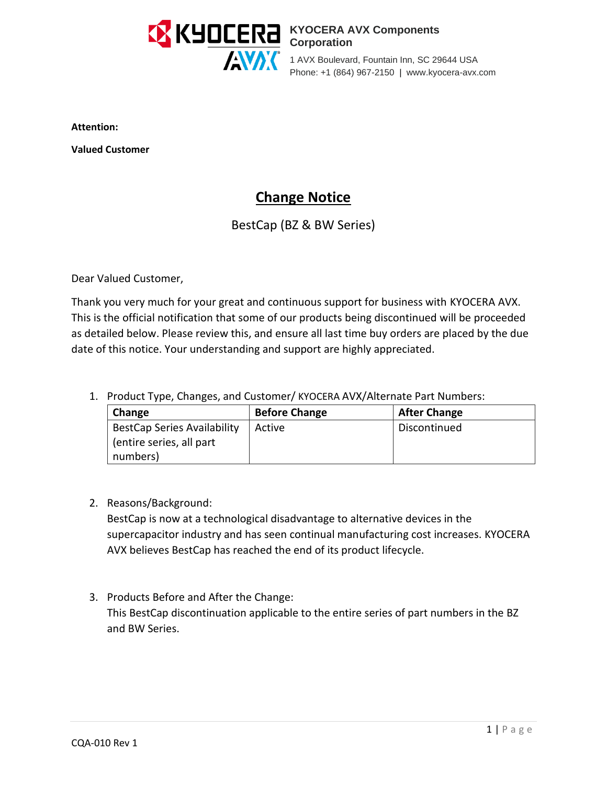

#### **KYOCERA AVX Components Corporation**

1 AVX Boulevard, Fountain Inn, SC 29644 USA Phone: +1 (864) 967-2150 | www.kyocera-avx.com

**Attention:**

**Valued Customer**

# **Change Notice**

## BestCap (BZ & BW Series)

Dear Valued Customer,

Thank you very much for your great and continuous support for business with KYOCERA AVX. This is the official notification that some of our products being discontinued will be proceeded as detailed below. Please review this, and ensure all last time buy orders are placed by the due date of this notice. Your understanding and support are highly appreciated.

1. Product Type, Changes, and Customer/ KYOCERA AVX/Alternate Part Numbers:

| Change                             | <b>Before Change</b> | <b>After Change</b> |
|------------------------------------|----------------------|---------------------|
| <b>BestCap Series Availability</b> | Active               | Discontinued        |
| (entire series, all part           |                      |                     |
| numbers)                           |                      |                     |

2. Reasons/Background:

BestCap is now at a technological disadvantage to alternative devices in the supercapacitor industry and has seen continual manufacturing cost increases. KYOCERA AVX believes BestCap has reached the end of its product lifecycle.

3. Products Before and After the Change: This BestCap discontinuation applicable to the entire series of part numbers in the BZ and BW Series.